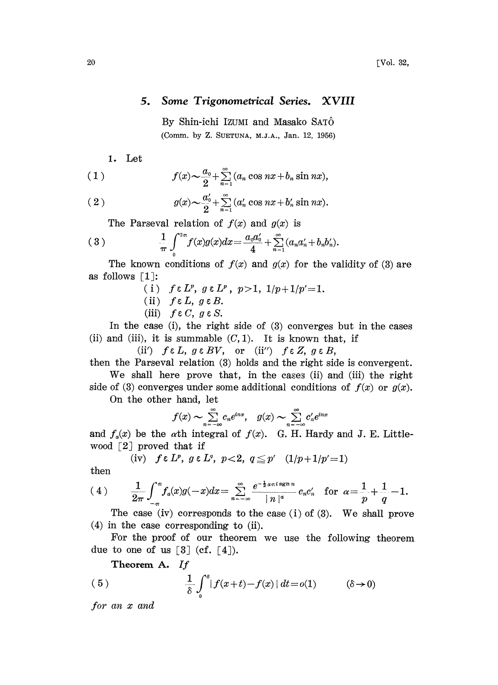## 5. Some Trigonometrical Series. XVIII

By Shin-ichi Izumi and Masako SATÔ (Comm. by Z. SUETUNA, M.J.A., Jan. 12, 1956)

1. Let

(1) 
$$
f(x) \sim \frac{a_0}{2} + \sum_{n=1}^{\infty} (a_n \cos nx + b_n \sin nx),
$$

(2) 
$$
g(x) \sim \frac{a'_0}{2} + \sum_{n=1}^{\infty} (a'_n \cos nx + b'_n \sin nx).
$$
  
The Parseval relation of  $f(x)$  and  $g(x)$  is

$$
(3) \qquad \qquad \frac{1}{\pi}\int_{0}^{2\pi}f(x)g(x)dx=\frac{a_{0}a'_{0}}{4}+\sum_{n=1}^{\infty}(a_{n}a'_{n}+b_{n}b'_{n}).
$$

The known conditions of  $f(x)$  and  $g(x)$  for the validity of (3) are as follows  $[1]$ :

- (i)  $f \in L^p$ ,  $g \in L^p$ ,  $p > 1$ ,  $1/p + 1/p' = 1$ .
- (ii)  $f \in L$ ,  $g \in B$ .
- (iii)  $f \in C$ ,  $g \in S$ .

In the case (i), the right side of (3) converges but in the cases (ii) and (iii), it is summable  $(C, 1)$ . It is known that, if

(ii')  $f \in L$ ,  $g \in BV$ , or (ii'')  $f \in Z$ ,  $g \in B$ ,

then the Parseval relation  $(3)$  holds and the right side is convergent.

We shall here prove that, in the cases (ii) and (iii) the right side of (3) converges under some additional conditions of  $f(x)$  or  $g(x)$ .

On the other hand, let

$$
f(x) \sim \sum_{n=-\infty}^{\infty} c_n e^{inx}, \quad g(x) \sim \sum_{n=-\infty}^{\infty} c'_n e^{inx}
$$

and  $f_a(x)$  be the *a*th integral of  $f(x)$ . G. H. Hardy and J. E. Littlewood  $\lceil 2 \rceil$  proved that if

(iv) 
$$
f \in L^p
$$
,  $g \in L^q$ ,  $p < 2$ ,  $q \leq p'$   $(1/p + 1/p' = 1)$ 

hen

$$
(4) \qquad \frac{1}{2\pi}\int_{-\pi}^{\pi}f_a(x)g(-x)dx=\sum_{n=-\infty}^{\infty}\frac{e^{-\frac{1}{2}a\pi i\operatorname{sgn} n}}{|n|^a}c_nc'_n \quad \text{for} \ \ a=\frac{1}{p}+\frac{1}{q}-1.
$$

The case (iv) corresponds to the case (i) of (3). We shall prove  $(4)$  in the case corresponding to (ii).

For the proof of our theorem we use the following theorem due to one of us  $[3]$  (cf.  $[4]$ ).

Theorem A. If

(5) 
$$
\frac{1}{\delta} \int_{0}^{\delta} |f(x+t) - f(x)| dt = o(1) \qquad (\delta \to 0)
$$

for an x and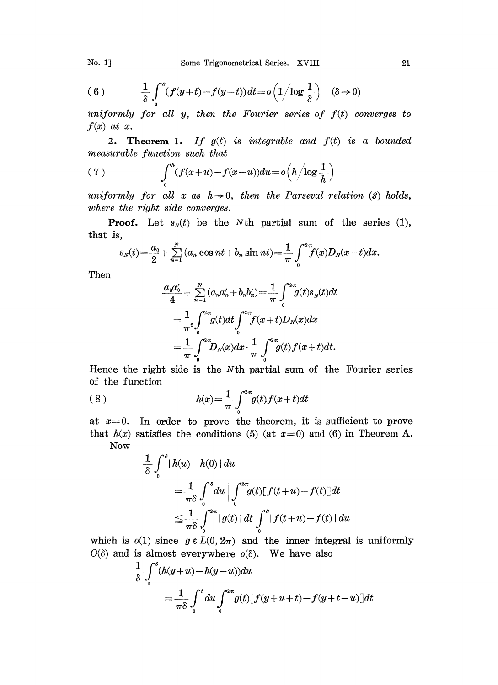(6) 
$$
\frac{1}{\delta} \int_0^s (f(y+t) - f(y-t)) dt = o\left(1/\log \frac{1}{\delta}\right) \quad (\delta \to 0)
$$

uniformly for all  $y$ , then the Fourier series of  $f(t)$  converges to  $f(x)$  at x.

2. Theorem 1. If  $g(t)$  is integrable and  $f(t)$  is a bounded measurable function such that

(7) 
$$
\int_0^h (f(x+u)-f(x-u))du = o\left(h/\log\frac{1}{h}\right)
$$

uniformly for all x as  $h \rightarrow 0$ , then the Parseval relation (3) holds, where the right side converges.

**Proof.** Let  $s<sub>N</sub>(t)$  be the Nth partial sum of the series (1), that is,

$$
s_N(t) = \frac{a_0}{2} + \sum_{n=1}^N (a_n \cos nt + b_n \sin nt) = \frac{1}{\pi} \int_0^{2\pi} f(x) D_N(x-t) dx.
$$

Then

$$
\frac{a_0 a_0'}{4} + \sum_{n=1}^N (a_n a_n' + b_n b_n') = \frac{1}{\pi} \int_0^{2\pi} g(t) s_N(t) dt
$$
  
=  $\frac{1}{\pi^2} \int_0^{2\pi} g(t) dt \int_0^{2\pi} f(x+t) D_N(x) dx$   
=  $\frac{1}{\pi} \int_0^{2\pi} D_N(x) dx \cdot \frac{1}{\pi} \int_0^{2\pi} g(t) f(x+t) dt$ .

Hence the right side is the Nth partial sum of the Fourier series of the function

(8) 
$$
h(x) = \frac{1}{\pi} \int_{0}^{2\pi} g(t) f(x+t) dt
$$

at  $x=0$ . In order to prove the theorem, it is sufficient to prove that  $h(x)$  satisfies the conditions (5) (at  $x=0$ ) and (6) in Theorem A. Now

$$
\frac{1}{\delta} \int_{0}^{\delta} |h(u) - h(0)| du
$$
\n
$$
= \frac{1}{\pi \delta} \int_{0}^{\delta} du \left| \int_{0}^{2\pi} g(t) [f(t+u) - f(t)] dt \right|
$$
\n
$$
\leq \frac{1}{\pi \delta} \int_{0}^{2\pi} |g(t)| dt \int_{0}^{\delta} |f(t+u) - f(t)| du
$$

which is  $o(1)$  since  $g \in L(0, 2\pi)$  and the inner integral is uniformly  $O(\delta)$  and is almost everywhere  $o(\delta)$ . We have also

$$
\frac{1}{\delta} \int_0^{\delta} (h(y+u) - h(y-u)) du
$$
  
= 
$$
\frac{1}{\pi \delta} \int_0^{\delta} du \int_0^{2\pi} g(t) [f(y+u+t) - f(y+t-u)] dt
$$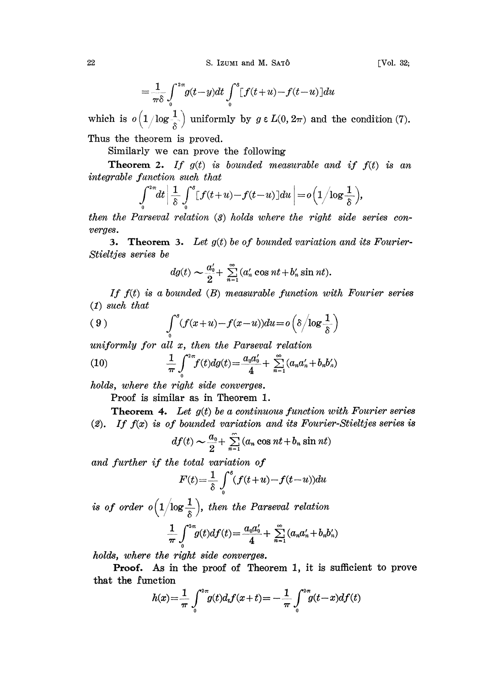$$
=\frac{1}{\pi\delta}\int_{0}^{2\pi}g(t-y)dt\int_{0}^{s}[f(t+u)-f(t-u)]du
$$

which is  $o(1/\log \frac{1}{\delta})$  uniformly by  $g \in L(0, 2\pi)$  and the condition (7). Thus the theorem is proved.

Similarly we can prove the following

**Theorem 2.** If  $g(t)$  is bounded measurable and if  $f(t)$  is an integrable function such that

$$
\int_{0}^{2\pi}\!\!dt\,\bigg|\,\frac{1}{\delta}\int_{0}^{\delta}\!\! \big[f(t\!+\!u)\!-\!f(t\!-\!u)\big]du\,\bigg|\!=\!o\Big(1\Big/\!\!\log\frac{1}{\delta}\Big),
$$

then the Parseval relation (8) holds where the right side series converges.

3. Theorem 3. Let  $g(t)$  be of bounded variation and its Fourier-Stieltjes series be

$$
dg(t) \sim \frac{a_0'}{2} + \sum_{n=1}^{\infty} (a_n' \cos nt + b_n' \sin nt).
$$

If  $f(t)$  is a bounded  $(B)$  measurable function with Fourier series (1) such that

(9) 
$$
\int_0^s (f(x+u)-f(x-u))du = o\left(\delta/\log\frac{1}{\delta}\right)
$$

uniformly for all x, then the Parseval relation

(10) 
$$
\frac{1}{\pi} \int_{0}^{2\pi} f(t) dg(t) = \frac{a_0 a_0'}{4} + \sum_{n=1}^{\infty} (a_n a_n' + b_n b_n')
$$

holds, where the right side converges.

Proof is similar as in Theorem 1.

**Theorem 4.** Let  $g(t)$  be a continuous function with Fourier series (2). If  $f(x)$  is of bounded variation and its Fourier-Stieltjes series is

$$
df(t) \sim \frac{a_0}{2} + \sum_{n=1}^{\infty} (a_n \cos nt + b_n \sin nt)
$$

and further if the total variation of

$$
f(t) \sim \frac{\omega_0}{2} + \sum_{n=1}^{\infty} (a_n \cos nt + b_n \sin nt)
$$
  
\ntotal variation of  
\n
$$
F'(t) = \frac{1}{\delta} \int_0^s (f(t+u) - f(t-u)) du
$$

is of order  $o(1/\log\frac{1}{\delta})$ , then the Parseval relation

$$
\frac{1}{\pi} \int_{0}^{2\pi} g(t) df(t) = \frac{a_0 a_0'}{4} + \sum_{n=1}^{\infty} (a_n a_n' + b_n b_n')
$$

holds, where the right side converges.

Proof. As in he proof of Theorem 1, it is sufficient to prove that the function

$$
h(x) = \frac{1}{\pi} \int_{0}^{2\pi} g(t) d_t f(x+t) = -\frac{1}{\pi} \int_{0}^{2\pi} g(t-x) df(t)
$$